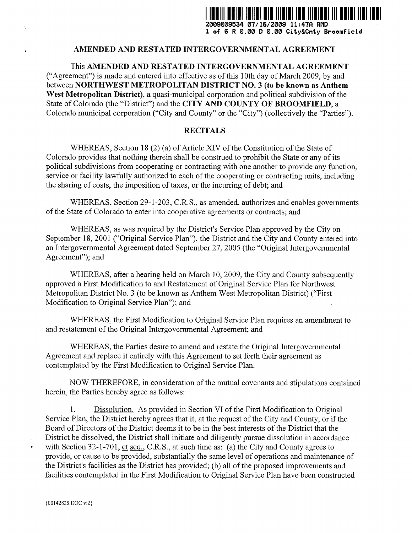

**1 of 6 R 0 .00 D 0 .00 City&Cnty Broomfielci**

## **AMENDED AND RESTATED INTERGOVERNMENTAL AGREEMEN T**

This AMENDED AND RESTATED INTERGOVERNMENTAL AGREEMENT ("Agreement") is made and entered into effective as of this 10th day of March 2009, by and between NORTHWEST METROPOLITAN DISTRICT NO. **3 (to be known as Anthem** West Metropolitan District), a quasi-municipal corporation and political subdivision of the State of Colorado (the "District") and the **CITY AND COUNTY OF BROOMFIELD, a** Colorado municipal corporation ("City and County" or the "City") (collectively the "Parties").

## **RECITALS**

WHEREAS, Section 18 (2) (a) of Article XIV of the Constitution of the State of Colorado provides that nothing therein shall be construed to prohibit the State or any of its political subdivisions from cooperating or contracting with one another to provide any function, service or facility lawfully authorized to each of the cooperating or contracting units, including the sharing of costs, the imposition of taxes, or the incurring of debt; and

WHEREAS, Section 29-1-203, C.R.S., as amended, authorizes and enables governments of the State of Colorado to enter into cooperative agreements or contracts ; and

WHEREAS, as was required by the District's Service Plan approved by the City on September 18, 2001 ("Original Service Plan"), the District and the City and County entered into an Intergovernmental Agreement dated September 27, 2005 (the "Original Intergovernmental Agreement"); and

WHEREAS, after a hearing held on March 10, 2009, the City and County subsequently approved a First Modification to and Restatement of Original Service Plan for Northwest Metropolitan District No. 3 (to be known as Anthem West Metropolitan District) ("First Modification to Original Service Plan"); and

WHEREAS, the First Modification to Original Service Plan requires an amendment to and restatement of the Original Intergovernmental Agreement; and

WHEREAS, the Parties desire to amend and restate the Original Intergovernmental Agreement and replace it entirely with this Agreement to set forth their agreement as contemplated by the First Modification to Original Service Plan.

NOW THEREFORE, in consideration of the mutual covenants and stipulations contained herein, the Parties hereby agree as follows:

1. Dissolution. As provided in Section VI of the First Modification to Original Service Plan, the District hereby agrees that it, at the request of the City and County, or if the Board of Directors of the District deems it to be in the best interests of the District that the District be dissolved, the District shall initiate and diligently pursue dissolution in accordance with Section 32-1-701, et seq., C.R.S., at such time as: (a) the City and County agrees to provide, or cause to be provided, substantially the same level of operations and maintenance of the District's facilities as the District has provided; (b) all of the proposed improvements and facilities contemplated in the First Modification to Original Service Plan have been constructed

 $\tilde{\tau}$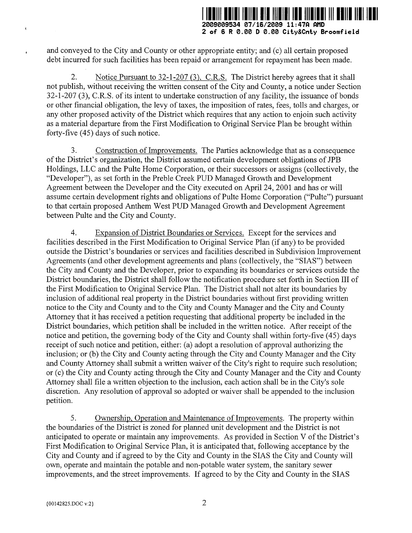

**2 of 6 R 0 .00 D 0 .00 City&Cnty Broomfiel d**

and conveyed to the City and County or other appropriate entity ; and (c) all certain proposed debt incurred for such facilities has been repaid or arrangement for repayment has been made.

2. Notice Pursuant to 32-1-207 (3), C.R.S. The District hereby agrees that it shall not publish, without receiving the written consent of the City and County, a notice under Section 32-1-207 (3), C.R.S . of its intent to undertake construction of any facility, the issuance of bonds or other financial obligation, the levy of taxes, the imposition of rates, fees, tolls and charges, or any other proposed activity of the District which requires that any action to enjoin such activity as a material departure from the First Modification to Original Service Plan be brought within forty-five *(45)* days of such notice.

3 . Construction of Improvements. The Parties acknowledge that as a consequence of the District's organization, the District assumed certain development obligations of JPB Holdings, LLC and the Pulte Home Corporation, or their successors or assigns (collectively, the "Developer"), as set forth in the Preble Creek PUD Managed Growth and Development Agreement between the Developer and the City executed on April 24, 2001 and has or will assume certain development rights and obligations of Pulte Home Corporation ("Pulte") pursuant to that certain proposed Anthem West PUD Managed Growth and Development Agreement between Pulte and the City and County.

4 . Expansion of District Boundaries or Services. Except for the services and facilities described in the First Modification to Original Service Plan (if any) to be provided outside the District's boundaries or services and facilities described in Subdivision Improvement Agreements (and other development agreements and plans (collectively, the "SIAS") between the City and County and the Developer, prior to expanding its boundaries or services outside the District boundaries, the District shall follow the notification procedure set forth in Section III of the First Modification to Original Service Plan. The District shall not alter its boundaries by inclusion of additional real property in the District boundaries without first providing written notice to the City and County and to the City and County Manager and the City and County Attorney that it has received a petition requesting that additional property be included in the District boundaries, which petition shall be included in the written notice. After receipt of the notice and petition, the governing body of the City and County shall within forty-five *(45)* days receipt of such notice and petition, either: (a) adopt a resolution of approval authorizing the inclusion; or (b) the City and County acting through the City and County Manager and the City and County Attorney shall submit a written waiver of the City's right to require such resolution; or (c) the City and County acting through the City and County Manager and the City and County Attorney shall file a written objection to the inclusion, each action shall be in the City's sole discretion. Any resolution of approval so adopted or waiver shall be appended to the inclusion petition.

*<sup>5</sup> .* Ownership, Operation and Maintenance of Improvements . The property within the boundaries of the District is zoned for planned unit development and the District is not anticipated to operate or maintain any improvements . As provided in Section V of the District's First Modification to Original Service Plan, it is anticipated that, following acceptance by the City and County and if agreed to by the City and County in the SIAS the City and County will own, operate and maintain the potable and non-potable water system, the sanitary sewered improvements, and the street improvements. If agreed to by the City and County in the (00142825.DOC v:2)<br>2 improvements, and the street improvements. If agreed to by the City and County in the SIAS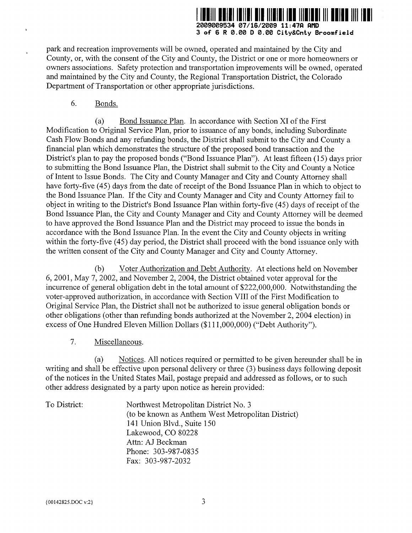

**3 of 6 R 0 .00 D 0 .00 City&Cnty Broomfiel d**

park and recreation improvements will be owned, operated and maintained by the City and County, or, with the consent of the City and County, the District or one or more homeowners or owners associations. Safety protection and transportation improvements will be owned, operated and maintained by the City and County, the Regional Transportation District, the Colorado Department of Transportation or other appropriate jurisdictions.

6. Bonds.

(a) Bond Issuance Plan. In accordance with Section XI of the First Modification to Original Service Plan, prior to issuance of any bonds, including Subordinate Cash Flow Bonds and any refunding bonds, the District shall submit to the City and County a financial plan which demonstrates the structure of the proposed bond transaction and the District's plan to pay the proposed bonds ("Bond Issuance Plan"). At least fifteen (15) days prior to submitting the Bond Issuance Plan, the District shall submit to the City and County a Notice of Intent to Issue Bonds. The City and County Manager and City and County Attorney shall have forty-five *(45)* days from the date of receipt of the Bond Issuance Plan in which to object to the Bond Issuance Plan. If the City and County Manager and City and County Attorney fail to object in writing to the District's Bond Issuance Plan within forty-five *(45)* days of receipt of the Bond Issuance Plan, the City and County Manager and City and County Attorney will be deemed to have approved the Bond Issuance Plan and the District may proceed to issue the bonds in accordance with the Bond Issuance Plan. In the event the City and County objects in writing within the forty-five (45) day period, the District shall proceed with the bond issuance only with the written consent of the City and County Manager and City and County Attorney .

(b) Voter Authorization and Debt Authority . At elections held on November 6, 2001, May 7, 2002, and November 2, 2004, the District obtained voter approval for the incurrence of general obligation debt in the total amount of \$222,000,000 . Notwithstanding the voter-approved authorization, in accordance with Section VIII of the First Modification to Original Service Plan, the District shall not be authorized to issue general obligation bonds or other obligations (other than refunding bonds authorized at the November 2, 2004 election) in excess of One Hundred Eleven Million Dollars (\$111,000,000) ("Debt Authority").

7. Miscellaneous.

(a) Notices. All notices required or permitted to be given hereunder shall be in writing and shall be effective upon personal delivery or three (3) business days following deposit of the notices in the United States Mail, postage prepaid and addressed as follows, or to such other address designated by a party upon notice as herein provided:

| To District: | Northwest Metropolitan District No. 3              |
|--------------|----------------------------------------------------|
|              | (to be known as Anthem West Metropolitan District) |
|              | 141 Union Blvd., Suite 150                         |
|              | Lakewood, CO 80228                                 |
|              | Attn: AJ Beckman                                   |
|              | Phone: 303-987-0835                                |
|              | Fax: 303-987-2032                                  |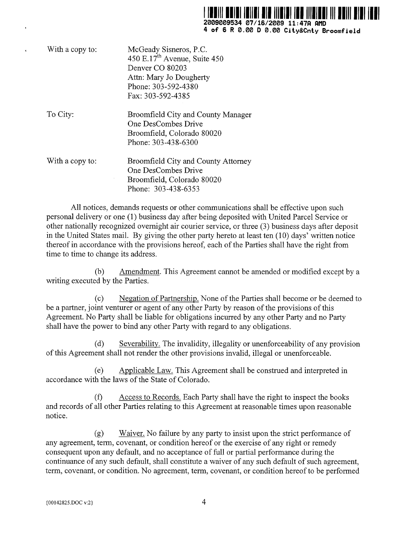

| With a copy to: | McGeady Sisneros, P.C.<br>450 E.17 <sup>th</sup> Avenue, Suite 450<br>Denver CO 80203<br>Attn: Mary Jo Dougherty<br>Phone: 303-592-4380<br>Fax: 303-592-4385 |
|-----------------|--------------------------------------------------------------------------------------------------------------------------------------------------------------|
| To City:        | Broomfield City and County Manager<br>One DesCombes Drive<br>Broomfield, Colorado 80020<br>Phone: 303-438-6300                                               |
| With a copy to: | Broomfield City and County Attorney<br>One DesCombes Drive<br>Broomfield, Colorado 80020<br>Phone: 303-438-6353                                              |

All notices, demands requests or other communications shall be effective upon such personal delivery or one (1) business day after being deposited with United Parcel Service or other nationally recognized overnight air courier service, or three (3) business days after deposit in the United States mail. By giving the other party hereto at least ten  $(10)$  days' written notice thereof in accordance with the provisions hereof, each of the Parties shall have the right from time to time to change its address.

(b) Amendment. This Agreement cannot be amended or modified except by a writing executed by the Parties.

(c) Negation of Partnership. None of the Parties shall become or be deemed to be a partner, joint venturer or agent of any other Party by reason of the provisions of this Agreement. No Party shall be liable for obligations incurred by any other Party and no Party shall have the power to bind any other Party with regard to any obligations.

(d) Severability. The invalidity, illegality or unenforceability of any provision of this Agreement shall not render the other provisions invalid, illegal or unenforceable .

(e) Applicable Law. This Agreement shall be construed and interpreted in accordance with the laws of the State of Colorado.

(f) Access to Records. Each Party shall have the right to inspect the books and records of all other Parties relating to this Agreement at reasonable times upon reasonable notice.

(g) Waiver. No failure by any party to insist upon the strict performance of any agreement, term, covenant, or condition hereof or the exercise of any right or remedy consequent upon any default, and no acceptance of full or partial performance during the continuance of any such default, shall constitute a waiver of any such default of such agreement, term, covenant, or condition. No agreement, term, covenant, or condition hereof to be performed continuance of any such default, shall constitute a<br>term, covenant, or condition. No agreement, term<br>(00142825.DOC v:2)<br>4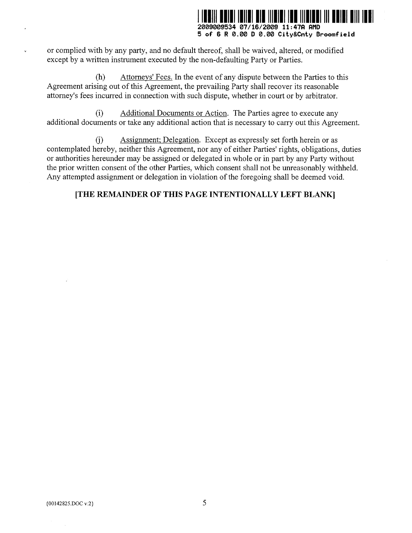

**2009009534 07/16/2009 11 :47fl PMD 5 of 6 R 0 .00 D 0 .00 City&Cnty Broomfiel d**

or complied with by any party, and no default thereof, shall be waived, altered, or modified except by a written instrument executed by the non-defaulting Party or Parties.

(h) Attorneys' Fees. In the event of any dispute between the Parties to this Agreement arising out of this Agreement, the prevailing Party shall recover its reasonable attorney's fees incurred in connection with such dispute, whether in court or by arbitrator .

(i) Additional Documents or Action . The Parties agree to execute any additional documents or take any additional action that is necessary to carry out this Agreement.

(j) Assignment; Delegation. Except as expressly set forth herein or as contemplated hereby, neither this Agreement, nor any of either Parties' rights, obligations, duties or authorities hereunder may be assigned or delegated in whole or in part by any Party without the prior written consent of the other Parties, which consent shall not be unreasonably withheld. Any attempted assignment or delegation in violation of the foregoing shall be deemed void.

## **[THE REMAINDER OF THIS PAGE INTENTIONALLY LEFT BLANK ]**